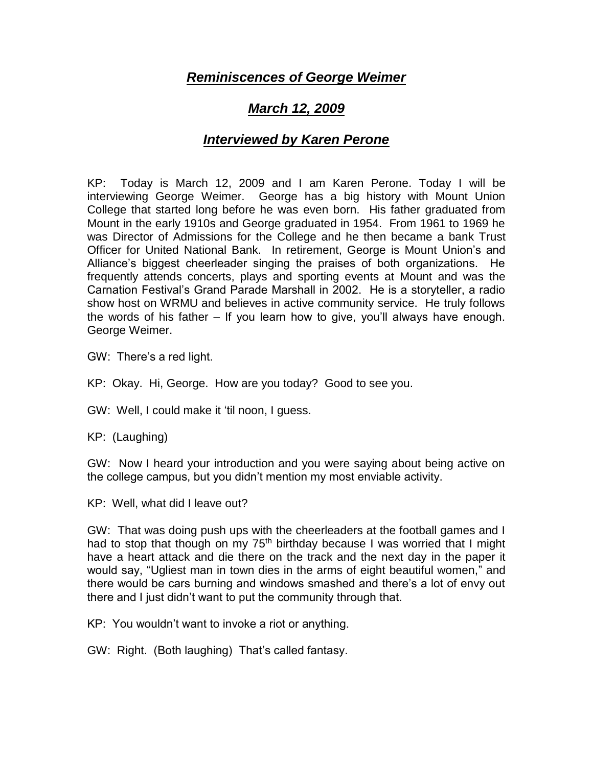## *Reminiscences of George Weimer*

## *March 12, 2009*

## *Interviewed by Karen Perone*

KP: Today is March 12, 2009 and I am Karen Perone. Today I will be interviewing George Weimer. George has a big history with Mount Union College that started long before he was even born. His father graduated from Mount in the early 1910s and George graduated in 1954. From 1961 to 1969 he was Director of Admissions for the College and he then became a bank Trust Officer for United National Bank. In retirement, George is Mount Union's and Alliance's biggest cheerleader singing the praises of both organizations. He frequently attends concerts, plays and sporting events at Mount and was the Carnation Festival's Grand Parade Marshall in 2002. He is a storyteller, a radio show host on WRMU and believes in active community service. He truly follows the words of his father – If you learn how to give, you'll always have enough. George Weimer.

GW: There's a red light.

KP: Okay. Hi, George. How are you today? Good to see you.

GW: Well, I could make it 'til noon, I guess.

KP: (Laughing)

GW: Now I heard your introduction and you were saying about being active on the college campus, but you didn't mention my most enviable activity.

KP: Well, what did I leave out?

GW: That was doing push ups with the cheerleaders at the football games and I had to stop that though on my  $75<sup>th</sup>$  birthday because I was worried that I might have a heart attack and die there on the track and the next day in the paper it would say, "Ugliest man in town dies in the arms of eight beautiful women," and there would be cars burning and windows smashed and there's a lot of envy out there and I just didn't want to put the community through that.

KP: You wouldn't want to invoke a riot or anything.

GW: Right. (Both laughing) That's called fantasy.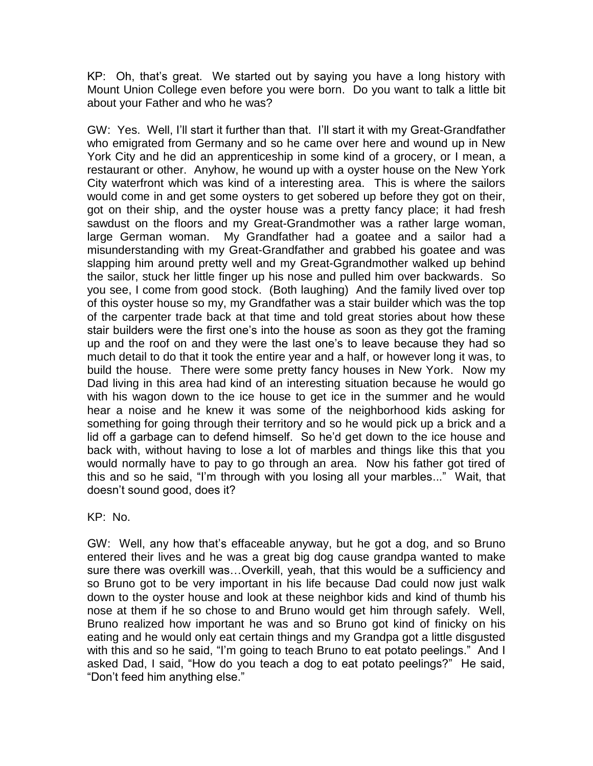KP: Oh, that's great. We started out by saying you have a long history with Mount Union College even before you were born. Do you want to talk a little bit about your Father and who he was?

GW: Yes. Well, I'll start it further than that. I'll start it with my Great-Grandfather who emigrated from Germany and so he came over here and wound up in New York City and he did an apprenticeship in some kind of a grocery, or I mean, a restaurant or other. Anyhow, he wound up with a oyster house on the New York City waterfront which was kind of a interesting area. This is where the sailors would come in and get some oysters to get sobered up before they got on their, got on their ship, and the oyster house was a pretty fancy place; it had fresh sawdust on the floors and my Great-Grandmother was a rather large woman, large German woman. My Grandfather had a goatee and a sailor had a misunderstanding with my Great-Grandfather and grabbed his goatee and was slapping him around pretty well and my Great-Ggrandmother walked up behind the sailor, stuck her little finger up his nose and pulled him over backwards. So you see, I come from good stock. (Both laughing) And the family lived over top of this oyster house so my, my Grandfather was a stair builder which was the top of the carpenter trade back at that time and told great stories about how these stair builders were the first one's into the house as soon as they got the framing up and the roof on and they were the last one's to leave because they had so much detail to do that it took the entire year and a half, or however long it was, to build the house. There were some pretty fancy houses in New York. Now my Dad living in this area had kind of an interesting situation because he would go with his wagon down to the ice house to get ice in the summer and he would hear a noise and he knew it was some of the neighborhood kids asking for something for going through their territory and so he would pick up a brick and a lid off a garbage can to defend himself. So he'd get down to the ice house and back with, without having to lose a lot of marbles and things like this that you would normally have to pay to go through an area. Now his father got tired of this and so he said, "I'm through with you losing all your marbles..." Wait, that doesn't sound good, does it?

KP: No.

GW: Well, any how that's effaceable anyway, but he got a dog, and so Bruno entered their lives and he was a great big dog cause grandpa wanted to make sure there was overkill was…Overkill, yeah, that this would be a sufficiency and so Bruno got to be very important in his life because Dad could now just walk down to the oyster house and look at these neighbor kids and kind of thumb his nose at them if he so chose to and Bruno would get him through safely. Well, Bruno realized how important he was and so Bruno got kind of finicky on his eating and he would only eat certain things and my Grandpa got a little disgusted with this and so he said, "I'm going to teach Bruno to eat potato peelings." And I asked Dad, I said, "How do you teach a dog to eat potato peelings?" He said, "Don't feed him anything else."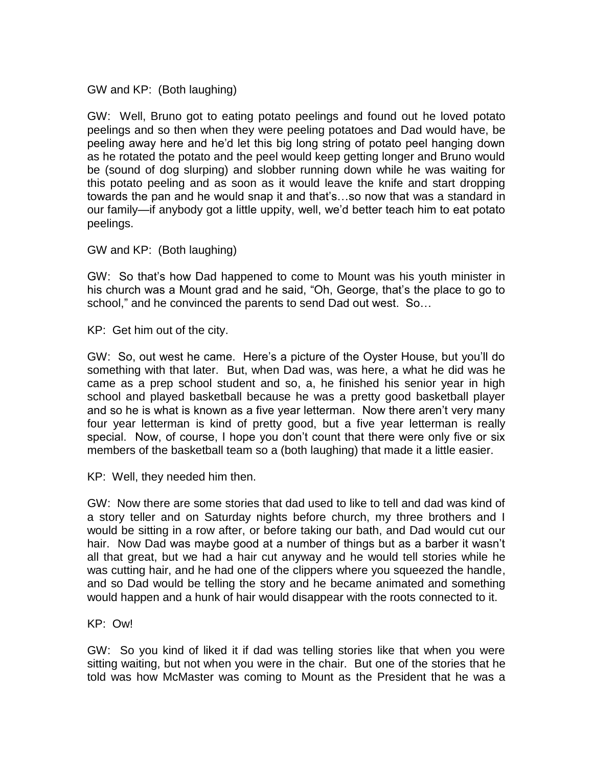GW and KP: (Both laughing)

GW: Well, Bruno got to eating potato peelings and found out he loved potato peelings and so then when they were peeling potatoes and Dad would have, be peeling away here and he'd let this big long string of potato peel hanging down as he rotated the potato and the peel would keep getting longer and Bruno would be (sound of dog slurping) and slobber running down while he was waiting for this potato peeling and as soon as it would leave the knife and start dropping towards the pan and he would snap it and that's…so now that was a standard in our family—if anybody got a little uppity, well, we'd better teach him to eat potato peelings.

GW and KP: (Both laughing)

GW: So that's how Dad happened to come to Mount was his youth minister in his church was a Mount grad and he said, "Oh, George, that's the place to go to school," and he convinced the parents to send Dad out west. So…

KP: Get him out of the city.

GW: So, out west he came. Here's a picture of the Oyster House, but you'll do something with that later. But, when Dad was, was here, a what he did was he came as a prep school student and so, a, he finished his senior year in high school and played basketball because he was a pretty good basketball player and so he is what is known as a five year letterman. Now there aren't very many four year letterman is kind of pretty good, but a five year letterman is really special. Now, of course, I hope you don't count that there were only five or six members of the basketball team so a (both laughing) that made it a little easier.

KP: Well, they needed him then.

GW: Now there are some stories that dad used to like to tell and dad was kind of a story teller and on Saturday nights before church, my three brothers and I would be sitting in a row after, or before taking our bath, and Dad would cut our hair. Now Dad was maybe good at a number of things but as a barber it wasn't all that great, but we had a hair cut anyway and he would tell stories while he was cutting hair, and he had one of the clippers where you squeezed the handle, and so Dad would be telling the story and he became animated and something would happen and a hunk of hair would disappear with the roots connected to it.

KP: Ow!

GW: So you kind of liked it if dad was telling stories like that when you were sitting waiting, but not when you were in the chair. But one of the stories that he told was how McMaster was coming to Mount as the President that he was a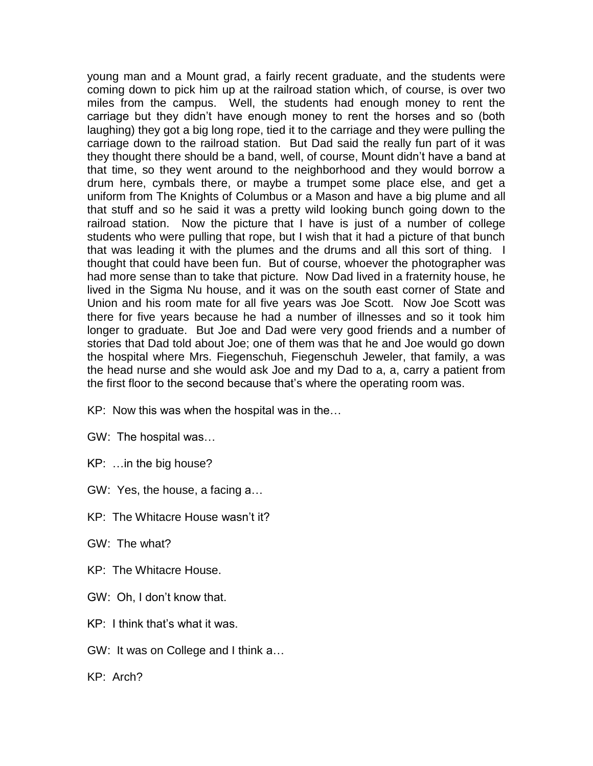young man and a Mount grad, a fairly recent graduate, and the students were coming down to pick him up at the railroad station which, of course, is over two miles from the campus. Well, the students had enough money to rent the carriage but they didn't have enough money to rent the horses and so (both laughing) they got a big long rope, tied it to the carriage and they were pulling the carriage down to the railroad station. But Dad said the really fun part of it was they thought there should be a band, well, of course, Mount didn't have a band at that time, so they went around to the neighborhood and they would borrow a drum here, cymbals there, or maybe a trumpet some place else, and get a uniform from The Knights of Columbus or a Mason and have a big plume and all that stuff and so he said it was a pretty wild looking bunch going down to the railroad station. Now the picture that I have is just of a number of college students who were pulling that rope, but I wish that it had a picture of that bunch that was leading it with the plumes and the drums and all this sort of thing. I thought that could have been fun. But of course, whoever the photographer was had more sense than to take that picture. Now Dad lived in a fraternity house, he lived in the Sigma Nu house, and it was on the south east corner of State and Union and his room mate for all five years was Joe Scott. Now Joe Scott was there for five years because he had a number of illnesses and so it took him longer to graduate. But Joe and Dad were very good friends and a number of stories that Dad told about Joe; one of them was that he and Joe would go down the hospital where Mrs. Fiegenschuh, Fiegenschuh Jeweler, that family, a was the head nurse and she would ask Joe and my Dad to a, a, carry a patient from the first floor to the second because that's where the operating room was.

- KP: Now this was when the hospital was in the…
- GW: The hospital was…
- KP: …in the big house?
- GW: Yes, the house, a facing a…
- KP: The Whitacre House wasn't it?
- GW: The what?
- KP: The Whitacre House.
- GW: Oh, I don't know that.
- $KP<sup>+</sup>$  I think that's what it was.
- GW: It was on College and I think a…
- KP: Arch?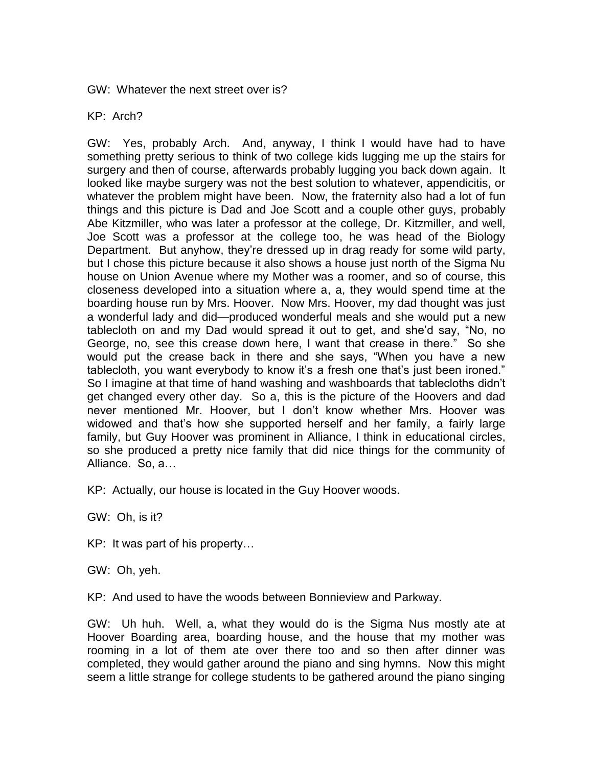GW: Whatever the next street over is?

## KP: Arch?

GW: Yes, probably Arch. And, anyway, I think I would have had to have something pretty serious to think of two college kids lugging me up the stairs for surgery and then of course, afterwards probably lugging you back down again. It looked like maybe surgery was not the best solution to whatever, appendicitis, or whatever the problem might have been. Now, the fraternity also had a lot of fun things and this picture is Dad and Joe Scott and a couple other guys, probably Abe Kitzmiller, who was later a professor at the college, Dr. Kitzmiller, and well, Joe Scott was a professor at the college too, he was head of the Biology Department. But anyhow, they're dressed up in drag ready for some wild party, but I chose this picture because it also shows a house just north of the Sigma Nu house on Union Avenue where my Mother was a roomer, and so of course, this closeness developed into a situation where a, a, they would spend time at the boarding house run by Mrs. Hoover. Now Mrs. Hoover, my dad thought was just a wonderful lady and did—produced wonderful meals and she would put a new tablecloth on and my Dad would spread it out to get, and she'd say, "No, no George, no, see this crease down here, I want that crease in there." So she would put the crease back in there and she says, "When you have a new tablecloth, you want everybody to know it's a fresh one that's just been ironed." So I imagine at that time of hand washing and washboards that tablecloths didn't get changed every other day. So a, this is the picture of the Hoovers and dad never mentioned Mr. Hoover, but I don't know whether Mrs. Hoover was widowed and that's how she supported herself and her family, a fairly large family, but Guy Hoover was prominent in Alliance, I think in educational circles, so she produced a pretty nice family that did nice things for the community of Alliance. So, a…

KP: Actually, our house is located in the Guy Hoover woods.

GW: Oh, is it?

KP: It was part of his property…

GW: Oh, yeh.

KP: And used to have the woods between Bonnieview and Parkway.

GW: Uh huh. Well, a, what they would do is the Sigma Nus mostly ate at Hoover Boarding area, boarding house, and the house that my mother was rooming in a lot of them ate over there too and so then after dinner was completed, they would gather around the piano and sing hymns. Now this might seem a little strange for college students to be gathered around the piano singing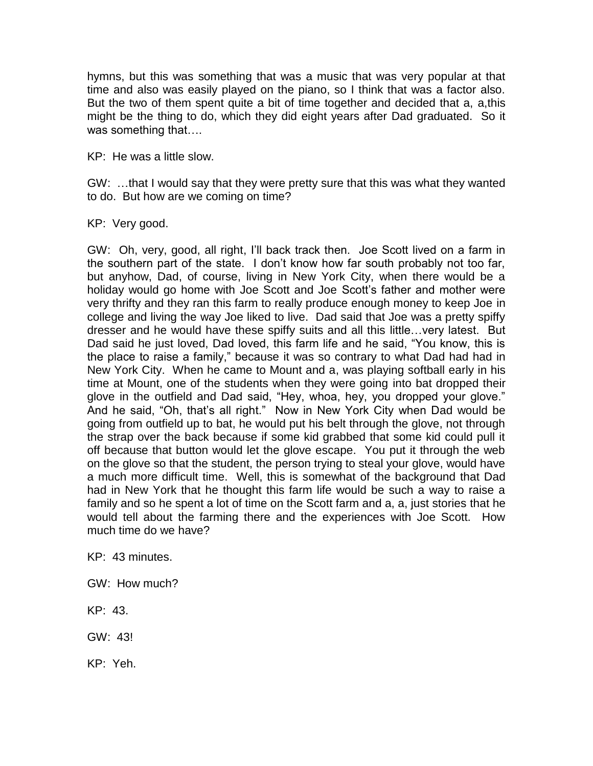hymns, but this was something that was a music that was very popular at that time and also was easily played on the piano, so I think that was a factor also. But the two of them spent quite a bit of time together and decided that a, a,this might be the thing to do, which they did eight years after Dad graduated. So it was something that….

KP: He was a little slow.

GW: …that I would say that they were pretty sure that this was what they wanted to do. But how are we coming on time?

KP: Very good.

GW: Oh, very, good, all right, I'll back track then. Joe Scott lived on a farm in the southern part of the state. I don't know how far south probably not too far, but anyhow, Dad, of course, living in New York City, when there would be a holiday would go home with Joe Scott and Joe Scott's father and mother were very thrifty and they ran this farm to really produce enough money to keep Joe in college and living the way Joe liked to live. Dad said that Joe was a pretty spiffy dresser and he would have these spiffy suits and all this little…very latest. But Dad said he just loved, Dad loved, this farm life and he said, "You know, this is the place to raise a family," because it was so contrary to what Dad had had in New York City. When he came to Mount and a, was playing softball early in his time at Mount, one of the students when they were going into bat dropped their glove in the outfield and Dad said, "Hey, whoa, hey, you dropped your glove." And he said, "Oh, that's all right." Now in New York City when Dad would be going from outfield up to bat, he would put his belt through the glove, not through the strap over the back because if some kid grabbed that some kid could pull it off because that button would let the glove escape. You put it through the web on the glove so that the student, the person trying to steal your glove, would have a much more difficult time. Well, this is somewhat of the background that Dad had in New York that he thought this farm life would be such a way to raise a family and so he spent a lot of time on the Scott farm and a, a, just stories that he would tell about the farming there and the experiences with Joe Scott. How much time do we have?

KP: 43 minutes.

- GW: How much?
- KP: 43.
- GW: 43!

KP: Yeh.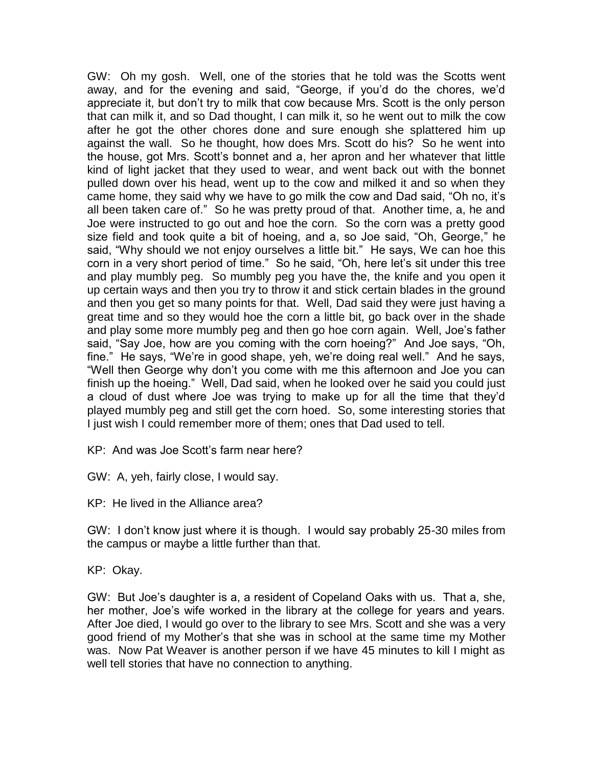GW: Oh my gosh. Well, one of the stories that he told was the Scotts went away, and for the evening and said, "George, if you'd do the chores, we'd appreciate it, but don't try to milk that cow because Mrs. Scott is the only person that can milk it, and so Dad thought, I can milk it, so he went out to milk the cow after he got the other chores done and sure enough she splattered him up against the wall. So he thought, how does Mrs. Scott do his? So he went into the house, got Mrs. Scott's bonnet and a, her apron and her whatever that little kind of light jacket that they used to wear, and went back out with the bonnet pulled down over his head, went up to the cow and milked it and so when they came home, they said why we have to go milk the cow and Dad said, "Oh no, it's all been taken care of." So he was pretty proud of that. Another time, a, he and Joe were instructed to go out and hoe the corn. So the corn was a pretty good size field and took quite a bit of hoeing, and a, so Joe said, "Oh, George," he said, "Why should we not enjoy ourselves a little bit." He says, We can hoe this corn in a very short period of time." So he said, "Oh, here let's sit under this tree and play mumbly peg. So mumbly peg you have the, the knife and you open it up certain ways and then you try to throw it and stick certain blades in the ground and then you get so many points for that. Well, Dad said they were just having a great time and so they would hoe the corn a little bit, go back over in the shade and play some more mumbly peg and then go hoe corn again. Well, Joe's father said, "Say Joe, how are you coming with the corn hoeing?" And Joe says, "Oh, fine." He says, "We're in good shape, yeh, we're doing real well." And he says, "Well then George why don't you come with me this afternoon and Joe you can finish up the hoeing." Well, Dad said, when he looked over he said you could just a cloud of dust where Joe was trying to make up for all the time that they'd played mumbly peg and still get the corn hoed. So, some interesting stories that I just wish I could remember more of them; ones that Dad used to tell.

KP: And was Joe Scott's farm near here?

GW: A, yeh, fairly close, I would say.

KP: He lived in the Alliance area?

GW: I don't know just where it is though. I would say probably 25-30 miles from the campus or maybe a little further than that.

KP: Okay.

GW: But Joe's daughter is a, a resident of Copeland Oaks with us. That a, she, her mother, Joe's wife worked in the library at the college for years and years. After Joe died, I would go over to the library to see Mrs. Scott and she was a very good friend of my Mother's that she was in school at the same time my Mother was. Now Pat Weaver is another person if we have 45 minutes to kill I might as well tell stories that have no connection to anything.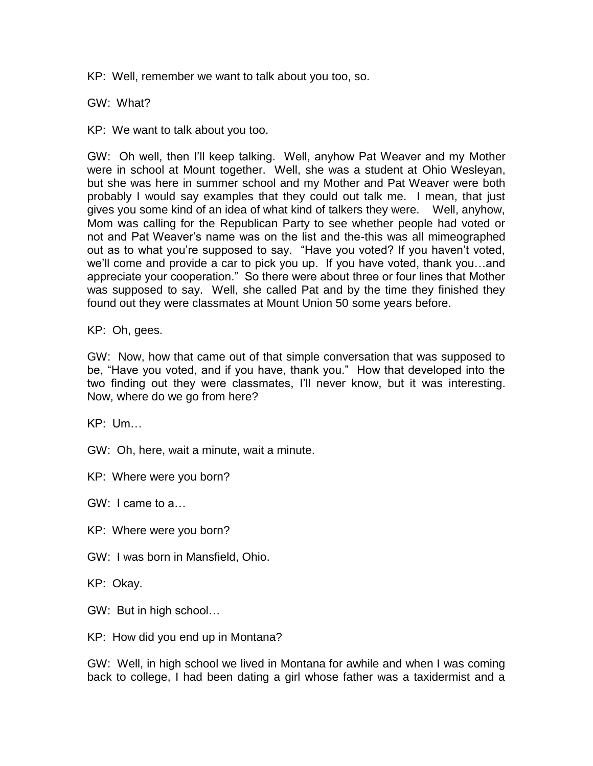KP: Well, remember we want to talk about you too, so.

GW: What?

KP: We want to talk about you too.

GW: Oh well, then I'll keep talking. Well, anyhow Pat Weaver and my Mother were in school at Mount together. Well, she was a student at Ohio Wesleyan, but she was here in summer school and my Mother and Pat Weaver were both probably I would say examples that they could out talk me. I mean, that just gives you some kind of an idea of what kind of talkers they were. Well, anyhow, Mom was calling for the Republican Party to see whether people had voted or not and Pat Weaver's name was on the list and the-this was all mimeographed out as to what you're supposed to say. "Have you voted? If you haven't voted, we'll come and provide a car to pick you up. If you have voted, thank you…and appreciate your cooperation." So there were about three or four lines that Mother was supposed to say. Well, she called Pat and by the time they finished they found out they were classmates at Mount Union 50 some years before.

KP: Oh, gees.

GW: Now, how that came out of that simple conversation that was supposed to be, "Have you voted, and if you have, thank you." How that developed into the two finding out they were classmates, I'll never know, but it was interesting. Now, where do we go from here?

KP: Um…

GW: Oh, here, wait a minute, wait a minute.

KP: Where were you born?

GW: I came to a…

- KP: Where were you born?
- GW: I was born in Mansfield, Ohio.

KP: Okay.

- GW: But in high school…
- KP: How did you end up in Montana?

GW: Well, in high school we lived in Montana for awhile and when I was coming back to college, I had been dating a girl whose father was a taxidermist and a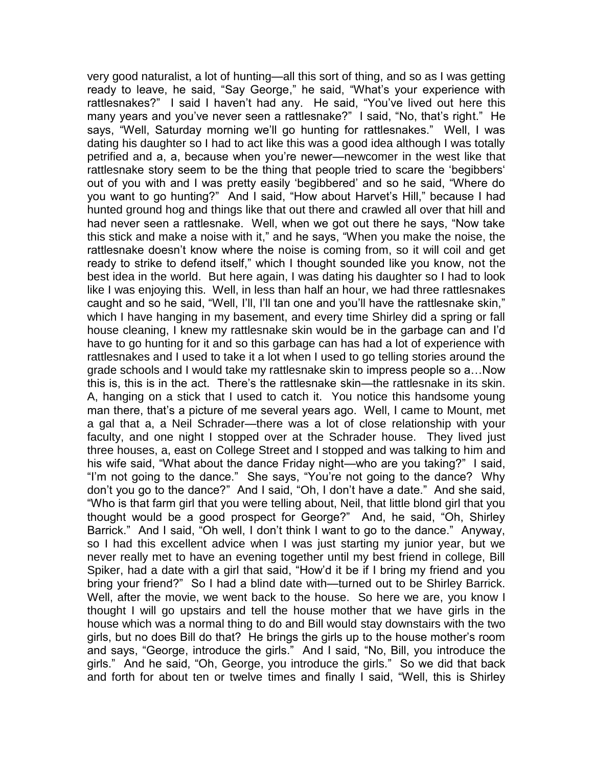very good naturalist, a lot of hunting—all this sort of thing, and so as I was getting ready to leave, he said, "Say George," he said, "What's your experience with rattlesnakes?" I said I haven't had any. He said, "You've lived out here this many years and you've never seen a rattlesnake?" I said, "No, that's right." He says, "Well, Saturday morning we'll go hunting for rattlesnakes." Well, I was dating his daughter so I had to act like this was a good idea although I was totally petrified and a, a, because when you're newer—newcomer in the west like that rattlesnake story seem to be the thing that people tried to scare the 'begibbers' out of you with and I was pretty easily 'begibbered' and so he said, "Where do you want to go hunting?" And I said, "How about Harvet's Hill," because I had hunted ground hog and things like that out there and crawled all over that hill and had never seen a rattlesnake. Well, when we got out there he says, "Now take this stick and make a noise with it," and he says, "When you make the noise, the rattlesnake doesn't know where the noise is coming from, so it will coil and get ready to strike to defend itself," which I thought sounded like you know, not the best idea in the world. But here again, I was dating his daughter so I had to look like I was enjoying this. Well, in less than half an hour, we had three rattlesnakes caught and so he said, "Well, I'll, I'll tan one and you'll have the rattlesnake skin," which I have hanging in my basement, and every time Shirley did a spring or fall house cleaning, I knew my rattlesnake skin would be in the garbage can and I'd have to go hunting for it and so this garbage can has had a lot of experience with rattlesnakes and I used to take it a lot when I used to go telling stories around the grade schools and I would take my rattlesnake skin to impress people so a…Now this is, this is in the act. There's the rattlesnake skin—the rattlesnake in its skin. A, hanging on a stick that I used to catch it. You notice this handsome young man there, that's a picture of me several years ago. Well, I came to Mount, met a gal that a, a Neil Schrader—there was a lot of close relationship with your faculty, and one night I stopped over at the Schrader house. They lived just three houses, a, east on College Street and I stopped and was talking to him and his wife said, "What about the dance Friday night—who are you taking?" I said, "I'm not going to the dance." She says, "You're not going to the dance? Why don't you go to the dance?" And I said, "Oh, I don't have a date." And she said, "Who is that farm girl that you were telling about, Neil, that little blond girl that you thought would be a good prospect for George?" And, he said, "Oh, Shirley Barrick." And I said, "Oh well, I don't think I want to go to the dance." Anyway, so I had this excellent advice when I was just starting my junior year, but we never really met to have an evening together until my best friend in college, Bill Spiker, had a date with a girl that said, "How'd it be if I bring my friend and you bring your friend?" So I had a blind date with—turned out to be Shirley Barrick. Well, after the movie, we went back to the house. So here we are, you know I thought I will go upstairs and tell the house mother that we have girls in the house which was a normal thing to do and Bill would stay downstairs with the two girls, but no does Bill do that? He brings the girls up to the house mother's room and says, "George, introduce the girls." And I said, "No, Bill, you introduce the girls." And he said, "Oh, George, you introduce the girls." So we did that back and forth for about ten or twelve times and finally I said, "Well, this is Shirley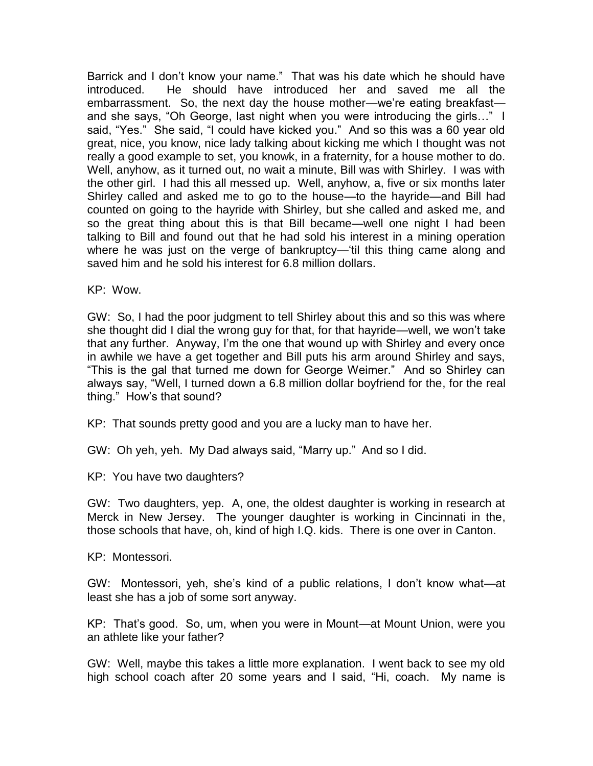Barrick and I don't know your name." That was his date which he should have introduced. He should have introduced her and saved me all the embarrassment. So, the next day the house mother—we're eating breakfast and she says, "Oh George, last night when you were introducing the girls…" I said, "Yes." She said, "I could have kicked you." And so this was a 60 year old great, nice, you know, nice lady talking about kicking me which I thought was not really a good example to set, you knowk, in a fraternity, for a house mother to do. Well, anyhow, as it turned out, no wait a minute, Bill was with Shirley. I was with the other girl. I had this all messed up. Well, anyhow, a, five or six months later Shirley called and asked me to go to the house—to the hayride—and Bill had counted on going to the hayride with Shirley, but she called and asked me, and so the great thing about this is that Bill became—well one night I had been talking to Bill and found out that he had sold his interest in a mining operation where he was just on the verge of bankruptcy—'til this thing came along and saved him and he sold his interest for 6.8 million dollars.

KP: Wow.

GW: So, I had the poor judgment to tell Shirley about this and so this was where she thought did I dial the wrong guy for that, for that hayride—well, we won't take that any further. Anyway, I'm the one that wound up with Shirley and every once in awhile we have a get together and Bill puts his arm around Shirley and says, "This is the gal that turned me down for George Weimer." And so Shirley can always say, "Well, I turned down a 6.8 million dollar boyfriend for the, for the real thing." How's that sound?

KP: That sounds pretty good and you are a lucky man to have her.

GW: Oh yeh, yeh. My Dad always said, "Marry up." And so I did.

KP: You have two daughters?

GW: Two daughters, yep. A, one, the oldest daughter is working in research at Merck in New Jersey. The younger daughter is working in Cincinnati in the, those schools that have, oh, kind of high I.Q. kids. There is one over in Canton.

KP: Montessori.

GW: Montessori, yeh, she's kind of a public relations, I don't know what—at least she has a job of some sort anyway.

KP: That's good. So, um, when you were in Mount—at Mount Union, were you an athlete like your father?

GW: Well, maybe this takes a little more explanation. I went back to see my old high school coach after 20 some years and I said, "Hi, coach. My name is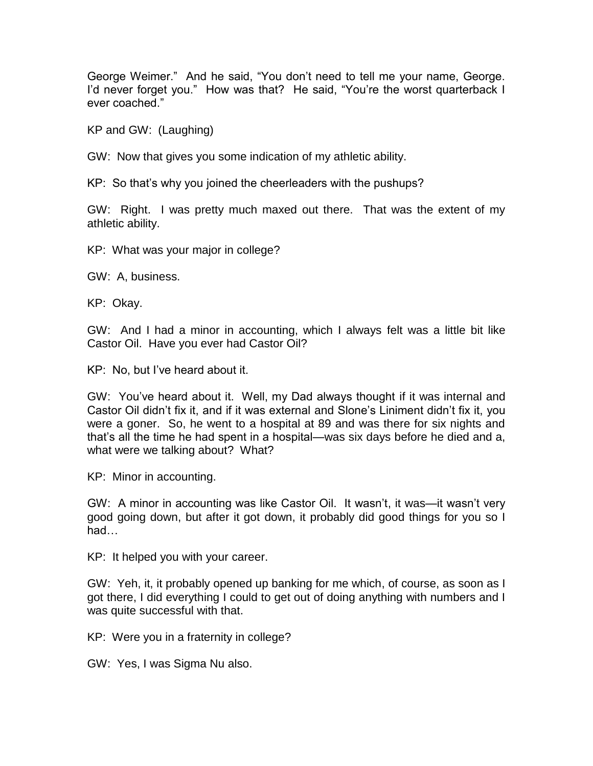George Weimer." And he said, "You don't need to tell me your name, George. I'd never forget you." How was that? He said, "You're the worst quarterback I ever coached."

KP and GW: (Laughing)

GW: Now that gives you some indication of my athletic ability.

KP: So that's why you joined the cheerleaders with the pushups?

GW: Right. I was pretty much maxed out there. That was the extent of my athletic ability.

KP: What was your major in college?

GW: A, business.

KP: Okay.

GW: And I had a minor in accounting, which I always felt was a little bit like Castor Oil. Have you ever had Castor Oil?

KP: No, but I've heard about it.

GW: You've heard about it. Well, my Dad always thought if it was internal and Castor Oil didn't fix it, and if it was external and Slone's Liniment didn't fix it, you were a goner. So, he went to a hospital at 89 and was there for six nights and that's all the time he had spent in a hospital—was six days before he died and a, what were we talking about? What?

KP: Minor in accounting.

GW: A minor in accounting was like Castor Oil. It wasn't, it was—it wasn't very good going down, but after it got down, it probably did good things for you so I had…

KP: It helped you with your career.

GW: Yeh, it, it probably opened up banking for me which, of course, as soon as I got there, I did everything I could to get out of doing anything with numbers and I was quite successful with that.

KP: Were you in a fraternity in college?

GW: Yes, I was Sigma Nu also.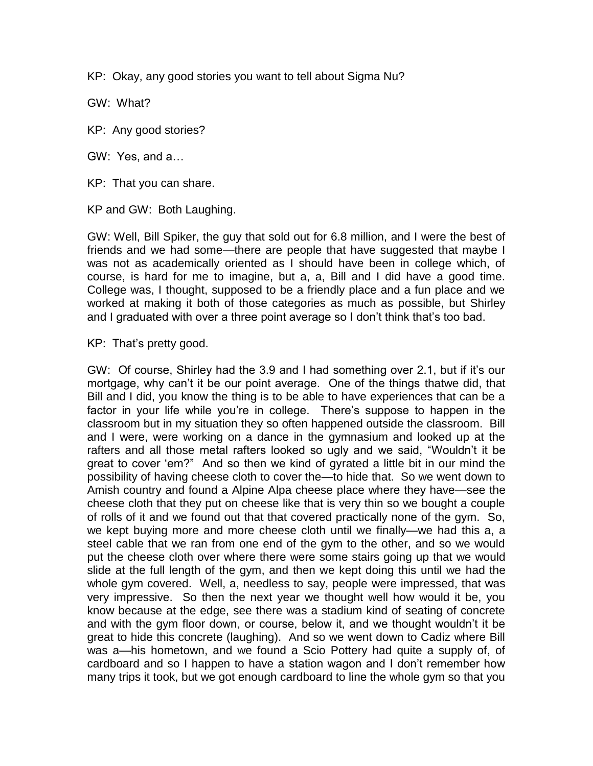KP: Okay, any good stories you want to tell about Sigma Nu?

GW: What?

KP: Any good stories?

GW: Yes, and a…

KP: That you can share.

KP and GW: Both Laughing.

GW: Well, Bill Spiker, the guy that sold out for 6.8 million, and I were the best of friends and we had some—there are people that have suggested that maybe I was not as academically oriented as I should have been in college which, of course, is hard for me to imagine, but a, a, Bill and I did have a good time. College was, I thought, supposed to be a friendly place and a fun place and we worked at making it both of those categories as much as possible, but Shirley and I graduated with over a three point average so I don't think that's too bad.

KP: That's pretty good.

GW: Of course, Shirley had the 3.9 and I had something over 2.1, but if it's our mortgage, why can't it be our point average. One of the things thatwe did, that Bill and I did, you know the thing is to be able to have experiences that can be a factor in your life while you're in college. There's suppose to happen in the classroom but in my situation they so often happened outside the classroom. Bill and I were, were working on a dance in the gymnasium and looked up at the rafters and all those metal rafters looked so ugly and we said, "Wouldn't it be great to cover 'em?" And so then we kind of gyrated a little bit in our mind the possibility of having cheese cloth to cover the—to hide that. So we went down to Amish country and found a Alpine Alpa cheese place where they have—see the cheese cloth that they put on cheese like that is very thin so we bought a couple of rolls of it and we found out that that covered practically none of the gym. So, we kept buying more and more cheese cloth until we finally—we had this a, a steel cable that we ran from one end of the gym to the other, and so we would put the cheese cloth over where there were some stairs going up that we would slide at the full length of the gym, and then we kept doing this until we had the whole gym covered. Well, a, needless to say, people were impressed, that was very impressive. So then the next year we thought well how would it be, you know because at the edge, see there was a stadium kind of seating of concrete and with the gym floor down, or course, below it, and we thought wouldn't it be great to hide this concrete (laughing). And so we went down to Cadiz where Bill was a—his hometown, and we found a Scio Pottery had quite a supply of, of cardboard and so I happen to have a station wagon and I don't remember how many trips it took, but we got enough cardboard to line the whole gym so that you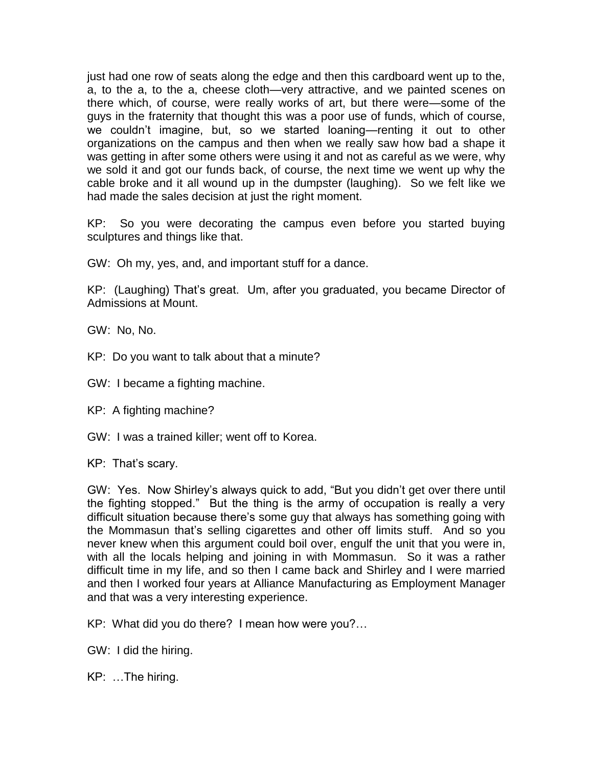just had one row of seats along the edge and then this cardboard went up to the, a, to the a, to the a, cheese cloth—very attractive, and we painted scenes on there which, of course, were really works of art, but there were—some of the guys in the fraternity that thought this was a poor use of funds, which of course, we couldn't imagine, but, so we started loaning—renting it out to other organizations on the campus and then when we really saw how bad a shape it was getting in after some others were using it and not as careful as we were, why we sold it and got our funds back, of course, the next time we went up why the cable broke and it all wound up in the dumpster (laughing). So we felt like we had made the sales decision at just the right moment.

KP: So you were decorating the campus even before you started buying sculptures and things like that.

GW: Oh my, yes, and, and important stuff for a dance.

KP: (Laughing) That's great. Um, after you graduated, you became Director of Admissions at Mount.

GW: No, No.

KP: Do you want to talk about that a minute?

GW: I became a fighting machine.

KP: A fighting machine?

GW: I was a trained killer; went off to Korea.

KP: That's scary.

GW: Yes. Now Shirley's always quick to add, "But you didn't get over there until the fighting stopped." But the thing is the army of occupation is really a very difficult situation because there's some guy that always has something going with the Mommasun that's selling cigarettes and other off limits stuff. And so you never knew when this argument could boil over, engulf the unit that you were in, with all the locals helping and joining in with Mommasun. So it was a rather difficult time in my life, and so then I came back and Shirley and I were married and then I worked four years at Alliance Manufacturing as Employment Manager and that was a very interesting experience.

KP: What did you do there? I mean how were you?…

GW: I did the hiring.

KP: …The hiring.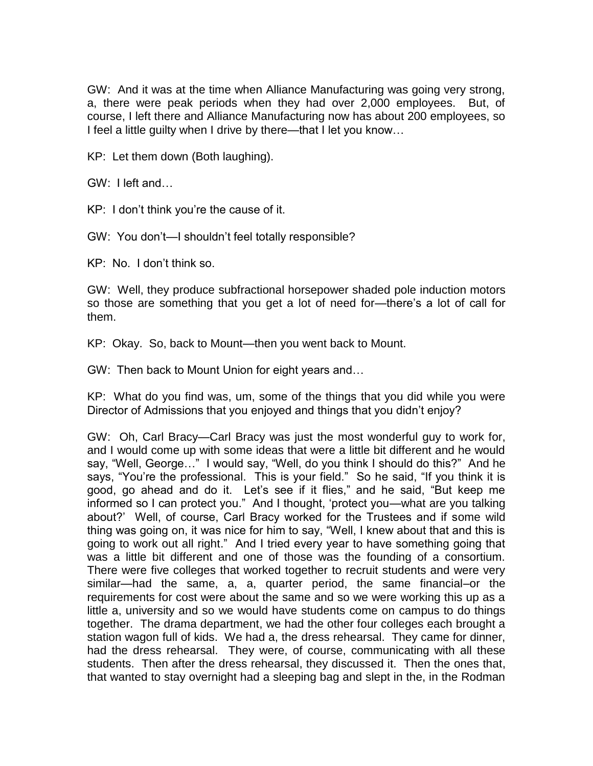GW: And it was at the time when Alliance Manufacturing was going very strong, a, there were peak periods when they had over 2,000 employees. But, of course, I left there and Alliance Manufacturing now has about 200 employees, so I feel a little guilty when I drive by there—that I let you know…

KP: Let them down (Both laughing).

GW: I left and…

KP: I don't think you're the cause of it.

GW: You don't—I shouldn't feel totally responsible?

KP: No. I don't think so.

GW: Well, they produce subfractional horsepower shaded pole induction motors so those are something that you get a lot of need for—there's a lot of call for them.

KP: Okay. So, back to Mount—then you went back to Mount.

GW: Then back to Mount Union for eight years and…

KP: What do you find was, um, some of the things that you did while you were Director of Admissions that you enjoyed and things that you didn't enjoy?

GW: Oh, Carl Bracy—Carl Bracy was just the most wonderful guy to work for, and I would come up with some ideas that were a little bit different and he would say, "Well, George…" I would say, "Well, do you think I should do this?" And he says, "You're the professional. This is your field." So he said, "If you think it is good, go ahead and do it. Let's see if it flies," and he said, "But keep me informed so I can protect you." And I thought, 'protect you—what are you talking about?' Well, of course, Carl Bracy worked for the Trustees and if some wild thing was going on, it was nice for him to say, "Well, I knew about that and this is going to work out all right." And I tried every year to have something going that was a little bit different and one of those was the founding of a consortium. There were five colleges that worked together to recruit students and were very similar—had the same, a, a, quarter period, the same financial–or the requirements for cost were about the same and so we were working this up as a little a, university and so we would have students come on campus to do things together. The drama department, we had the other four colleges each brought a station wagon full of kids. We had a, the dress rehearsal. They came for dinner, had the dress rehearsal. They were, of course, communicating with all these students. Then after the dress rehearsal, they discussed it. Then the ones that, that wanted to stay overnight had a sleeping bag and slept in the, in the Rodman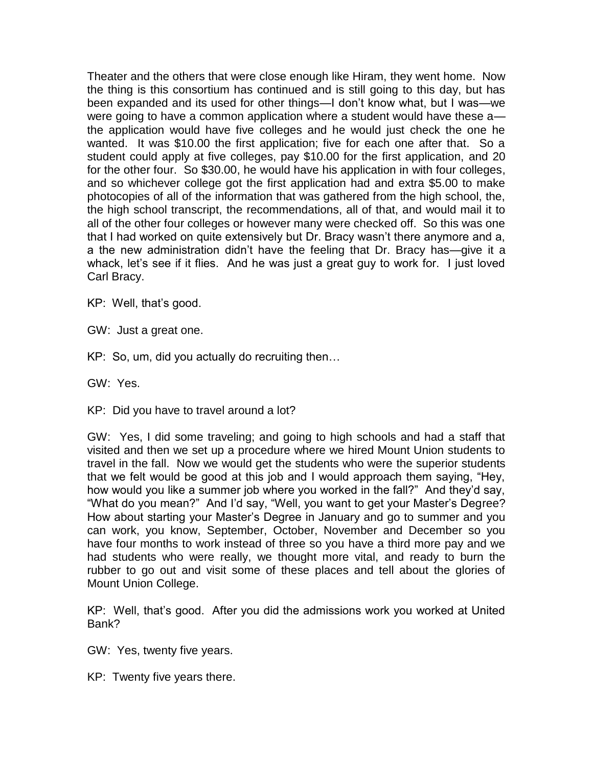Theater and the others that were close enough like Hiram, they went home. Now the thing is this consortium has continued and is still going to this day, but has been expanded and its used for other things—I don't know what, but I was—we were going to have a common application where a student would have these a the application would have five colleges and he would just check the one he wanted. It was \$10.00 the first application; five for each one after that. So a student could apply at five colleges, pay \$10.00 for the first application, and 20 for the other four. So \$30.00, he would have his application in with four colleges, and so whichever college got the first application had and extra \$5.00 to make photocopies of all of the information that was gathered from the high school, the, the high school transcript, the recommendations, all of that, and would mail it to all of the other four colleges or however many were checked off. So this was one that I had worked on quite extensively but Dr. Bracy wasn't there anymore and a, a the new administration didn't have the feeling that Dr. Bracy has—give it a whack, let's see if it flies. And he was just a great guy to work for. I just loved Carl Bracy.

KP: Well, that's good.

GW: Just a great one.

KP: So, um, did you actually do recruiting then…

GW: Yes.

KP: Did you have to travel around a lot?

GW: Yes, I did some traveling; and going to high schools and had a staff that visited and then we set up a procedure where we hired Mount Union students to travel in the fall. Now we would get the students who were the superior students that we felt would be good at this job and I would approach them saying, "Hey, how would you like a summer job where you worked in the fall?" And they'd say, "What do you mean?" And I'd say, "Well, you want to get your Master's Degree? How about starting your Master's Degree in January and go to summer and you can work, you know, September, October, November and December so you have four months to work instead of three so you have a third more pay and we had students who were really, we thought more vital, and ready to burn the rubber to go out and visit some of these places and tell about the glories of Mount Union College.

KP: Well, that's good. After you did the admissions work you worked at United Bank?

GW: Yes, twenty five years.

KP: Twenty five years there.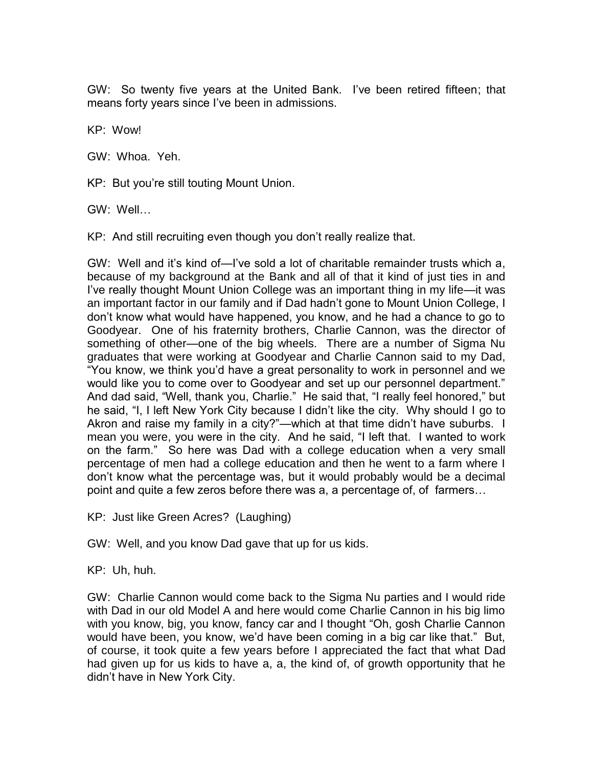GW: So twenty five years at the United Bank. I've been retired fifteen; that means forty years since I've been in admissions.

KP: Wow!

GW: Whoa. Yeh.

KP: But you're still touting Mount Union.

GW: Well…

KP: And still recruiting even though you don't really realize that.

GW: Well and it's kind of—I've sold a lot of charitable remainder trusts which a, because of my background at the Bank and all of that it kind of just ties in and I've really thought Mount Union College was an important thing in my life—it was an important factor in our family and if Dad hadn't gone to Mount Union College, I don't know what would have happened, you know, and he had a chance to go to Goodyear. One of his fraternity brothers, Charlie Cannon, was the director of something of other—one of the big wheels. There are a number of Sigma Nu graduates that were working at Goodyear and Charlie Cannon said to my Dad, "You know, we think you'd have a great personality to work in personnel and we would like you to come over to Goodyear and set up our personnel department." And dad said, "Well, thank you, Charlie." He said that, "I really feel honored," but he said, "I, I left New York City because I didn't like the city. Why should I go to Akron and raise my family in a city?"—which at that time didn't have suburbs. I mean you were, you were in the city. And he said, "I left that. I wanted to work on the farm." So here was Dad with a college education when a very small percentage of men had a college education and then he went to a farm where I don't know what the percentage was, but it would probably would be a decimal point and quite a few zeros before there was a, a percentage of, of farmers…

KP: Just like Green Acres? (Laughing)

GW: Well, and you know Dad gave that up for us kids.

KP: Uh, huh.

GW: Charlie Cannon would come back to the Sigma Nu parties and I would ride with Dad in our old Model A and here would come Charlie Cannon in his big limo with you know, big, you know, fancy car and I thought "Oh, gosh Charlie Cannon would have been, you know, we'd have been coming in a big car like that." But, of course, it took quite a few years before I appreciated the fact that what Dad had given up for us kids to have a, a, the kind of, of growth opportunity that he didn't have in New York City.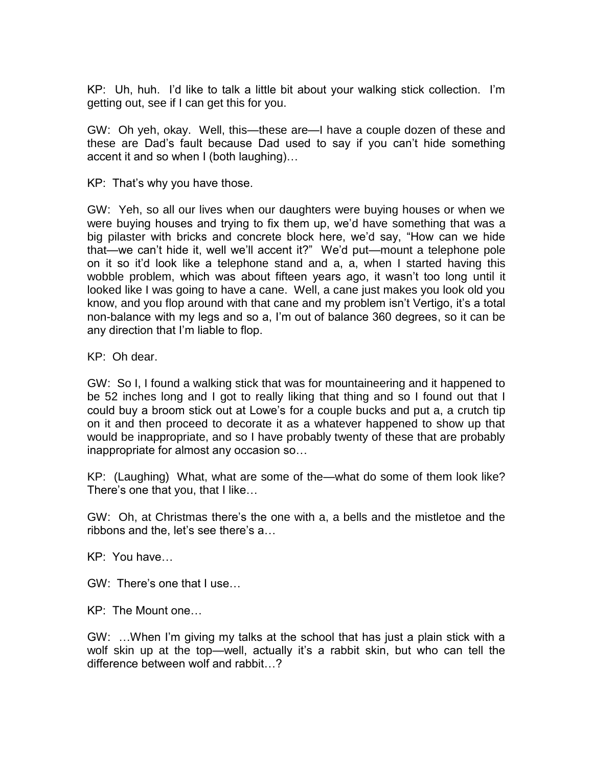KP: Uh, huh. I'd like to talk a little bit about your walking stick collection. I'm getting out, see if I can get this for you.

GW: Oh yeh, okay. Well, this—these are—I have a couple dozen of these and these are Dad's fault because Dad used to say if you can't hide something accent it and so when I (both laughing)…

KP: That's why you have those.

GW: Yeh, so all our lives when our daughters were buying houses or when we were buying houses and trying to fix them up, we'd have something that was a big pilaster with bricks and concrete block here, we'd say, "How can we hide that—we can't hide it, well we'll accent it?" We'd put—mount a telephone pole on it so it'd look like a telephone stand and a, a, when I started having this wobble problem, which was about fifteen years ago, it wasn't too long until it looked like I was going to have a cane. Well, a cane just makes you look old you know, and you flop around with that cane and my problem isn't Vertigo, it's a total non-balance with my legs and so a, I'm out of balance 360 degrees, so it can be any direction that I'm liable to flop.

KP: Oh dear.

GW: So I, I found a walking stick that was for mountaineering and it happened to be 52 inches long and I got to really liking that thing and so I found out that I could buy a broom stick out at Lowe's for a couple bucks and put a, a crutch tip on it and then proceed to decorate it as a whatever happened to show up that would be inappropriate, and so I have probably twenty of these that are probably inappropriate for almost any occasion so…

KP: (Laughing) What, what are some of the—what do some of them look like? There's one that you, that I like…

GW: Oh, at Christmas there's the one with a, a bells and the mistletoe and the ribbons and the, let's see there's a…

KP: You have…

GW: There's one that I use…

KP: The Mount one…

GW: …When I'm giving my talks at the school that has just a plain stick with a wolf skin up at the top—well, actually it's a rabbit skin, but who can tell the difference between wolf and rabbit…?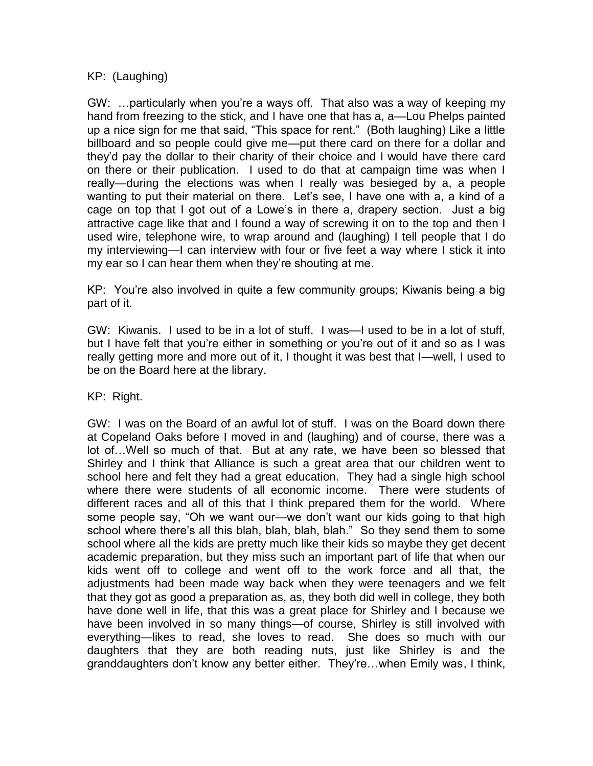KP: (Laughing)

GW: …particularly when you're a ways off. That also was a way of keeping my hand from freezing to the stick, and I have one that has a, a—Lou Phelps painted up a nice sign for me that said, "This space for rent." (Both laughing) Like a little billboard and so people could give me—put there card on there for a dollar and they'd pay the dollar to their charity of their choice and I would have there card on there or their publication. I used to do that at campaign time was when I really—during the elections was when I really was besieged by a, a people wanting to put their material on there. Let's see, I have one with a, a kind of a cage on top that I got out of a Lowe's in there a, drapery section. Just a big attractive cage like that and I found a way of screwing it on to the top and then I used wire, telephone wire, to wrap around and (laughing) I tell people that I do my interviewing—I can interview with four or five feet a way where I stick it into my ear so I can hear them when they're shouting at me.

KP: You're also involved in quite a few community groups; Kiwanis being a big part of it.

GW: Kiwanis. I used to be in a lot of stuff. I was—I used to be in a lot of stuff, but I have felt that you're either in something or you're out of it and so as I was really getting more and more out of it, I thought it was best that I—well, I used to be on the Board here at the library.

KP: Right.

GW: I was on the Board of an awful lot of stuff. I was on the Board down there at Copeland Oaks before I moved in and (laughing) and of course, there was a lot of…Well so much of that. But at any rate, we have been so blessed that Shirley and I think that Alliance is such a great area that our children went to school here and felt they had a great education. They had a single high school where there were students of all economic income. There were students of different races and all of this that I think prepared them for the world. Where some people say, "Oh we want our—we don't want our kids going to that high school where there's all this blah, blah, blah, blah." So they send them to some school where all the kids are pretty much like their kids so maybe they get decent academic preparation, but they miss such an important part of life that when our kids went off to college and went off to the work force and all that, the adjustments had been made way back when they were teenagers and we felt that they got as good a preparation as, as, they both did well in college, they both have done well in life, that this was a great place for Shirley and I because we have been involved in so many things—of course, Shirley is still involved with everything—likes to read, she loves to read. She does so much with our daughters that they are both reading nuts, just like Shirley is and the granddaughters don't know any better either. They're…when Emily was, I think,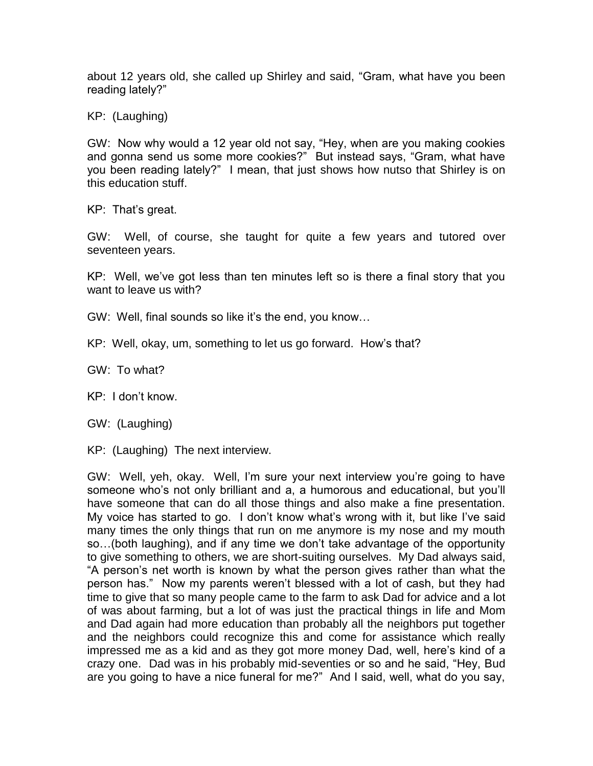about 12 years old, she called up Shirley and said, "Gram, what have you been reading lately?"

KP: (Laughing)

GW: Now why would a 12 year old not say, "Hey, when are you making cookies and gonna send us some more cookies?" But instead says, "Gram, what have you been reading lately?" I mean, that just shows how nutso that Shirley is on this education stuff.

KP: That's great.

GW: Well, of course, she taught for quite a few years and tutored over seventeen years.

KP: Well, we've got less than ten minutes left so is there a final story that you want to leave us with?

- GW: Well, final sounds so like it's the end, you know…
- KP: Well, okay, um, something to let us go forward. How's that?

GW: To what?

KP: I don't know.

GW: (Laughing)

KP: (Laughing) The next interview.

GW: Well, yeh, okay. Well, I'm sure your next interview you're going to have someone who's not only brilliant and a, a humorous and educational, but you'll have someone that can do all those things and also make a fine presentation. My voice has started to go. I don't know what's wrong with it, but like I've said many times the only things that run on me anymore is my nose and my mouth so…(both laughing), and if any time we don't take advantage of the opportunity to give something to others, we are short-suiting ourselves. My Dad always said, "A person's net worth is known by what the person gives rather than what the person has." Now my parents weren't blessed with a lot of cash, but they had time to give that so many people came to the farm to ask Dad for advice and a lot of was about farming, but a lot of was just the practical things in life and Mom and Dad again had more education than probably all the neighbors put together and the neighbors could recognize this and come for assistance which really impressed me as a kid and as they got more money Dad, well, here's kind of a crazy one. Dad was in his probably mid-seventies or so and he said, "Hey, Bud are you going to have a nice funeral for me?" And I said, well, what do you say,